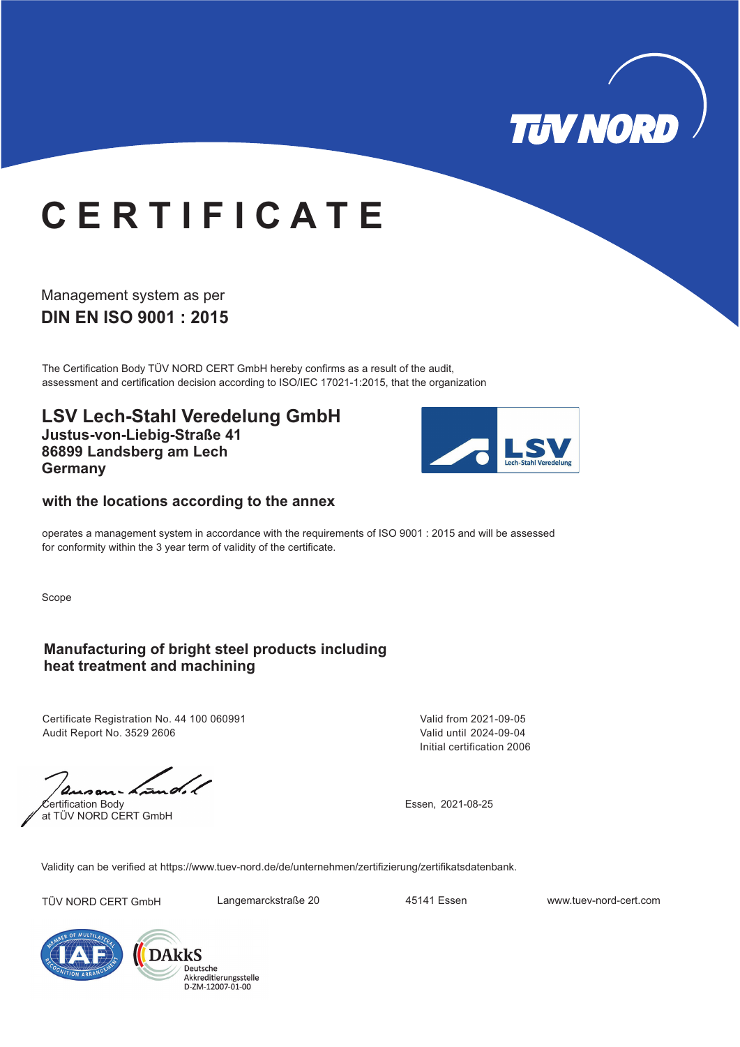

# **C E R T I F I C A T E**

### **DIN EN ISO 9001 : 2015** Management system as per

The Certification Body TÜV NORD CERT GmbH hereby confirms as a result of the audit, assessment and certification decision according to ISO/IEC 17021-1:2015, that the organization

**LSV Lech-Stahl Veredelung GmbH Justus-von-Liebig-Straße 41 86899 Landsberg am Lech Germany**



#### **with the locations according to the annex**

operates a management system in accordance with the requirements of ISO 9001 : 2015 and will be assessed for conformity within the 3 year term of validity of the certificate.

Scope

#### **Manufacturing of bright steel products including heat treatment and machining**

Certificate Registration No. 44 100 060991 Audit Report No. 3529 2606

Certification Body at TÜV NORD CERT GmbH

Initial certification 2006 Valid from 2021-09-05 Valid until 2024-09-04

Essen, 2021-08-25

Validity can be verified at https://www.tuev-nord.de/de/unternehmen/zertifizierung/zertifikatsdatenbank.

TÜV NORD CERT GmbH Langemarckstraße 20 45141 Essen www.tuev-nord-cert.com